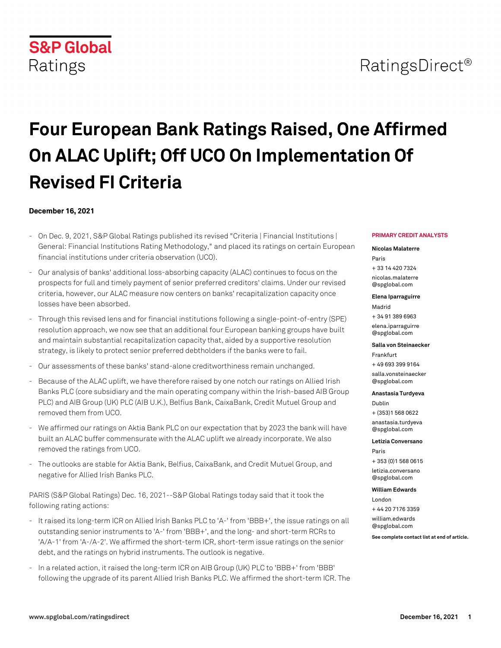# RatingsDirect<sup>®</sup>

# **Four European Bank Ratings Raised, One Affirmed On ALAC Uplift; Off UCO On Implementation Of Revised FI Criteria**

### **December 16, 2021**

- On Dec. 9, 2021, S&P Global Ratings published its revised "Criteria | Financial Institutions | General: Financial Institutions Rating Methodology," and placed its ratings on certain European financial institutions under criteria observation (UCO).
- Our analysis of banks' additional loss-absorbing capacity (ALAC) continues to focus on the prospects for full and timely payment of senior preferred creditors' claims. Under our revised criteria, however, our ALAC measure now centers on banks' recapitalization capacity once losses have been absorbed.
- Through this revised lens and for financial institutions following a single-point-of-entry (SPE) resolution approach, we now see that an additional four European banking groups have built and maintain substantial recapitalization capacity that, aided by a supportive resolution strategy, is likely to protect senior preferred debtholders if the banks were to fail.
- Our assessments of these banks' stand-alone creditworthiness remain unchanged.
- Because of the ALAC uplift, we have therefore raised by one notch our ratings on Allied Irish Banks PLC (core subsidiary and the main operating company within the Irish-based AIB Group PLC) and AIB Group (UK) PLC (AIB U.K.), Belfius Bank, CaixaBank, Credit Mutuel Group and removed them from UCO.
- We affirmed our ratings on Aktia Bank PLC on our expectation that by 2023 the bank will have built an ALAC buffer commensurate with the ALAC uplift we already incorporate. We also removed the ratings from UCO.
- The outlooks are stable for Aktia Bank, Belfius, CaixaBank, and Credit Mutuel Group, and negative for Allied Irish Banks PLC.

PARIS (S&P Global Ratings) Dec. 16, 2021--S&P Global Ratings today said that it took the following rating actions:

- It raised its long-term ICR on Allied Irish Banks PLC to 'A-' from 'BBB+', the issue ratings on all outstanding senior instruments to 'A-' from 'BBB+', and the long- and short-term RCRs to 'A/A-1' from 'A-/A-2'. We affirmed the short-term ICR, short-term issue ratings on the senior debt, and the ratings on hybrid instruments. The outlook is negative.
- In a related action, it raised the long-term ICR on AIB Group (UK) PLC to 'BBB+' from 'BBB' following the upgrade of its parent Allied Irish Banks PLC. We affirmed the short-term ICR. The

#### **PRIMARY CREDIT ANALYSTS**

### **Nicolas Malaterre**

Paris + 33 14 420 7324 [nicolas.malaterre](mailto: nicolas.malaterre@spglobal.com) [@spglobal.com](mailto: nicolas.malaterre@spglobal.com)

**Elena Iparraguirre**

Madrid + 34 91 389 6963

[elena.iparraguirre](mailto: elena.iparraguirre@spglobal.com) [@spglobal.com](mailto: elena.iparraguirre@spglobal.com)

#### **Salla von Steinaecker**

Frankfurt + 49 693 399 9164 [salla.vonsteinaecker](mailto: salla.vonsteinaecker@spglobal.com) [@spglobal.com](mailto: salla.vonsteinaecker@spglobal.com)

#### **Anastasia Turdyeva**

Dublin + (353)1 568 0622

[anastasia.turdyeva](mailto: anastasia.turdyeva@spglobal.com) [@spglobal.com](mailto: anastasia.turdyeva@spglobal.com)

#### **Letizia Conversano**

Paris + 353 (0)1 568 0615 [letizia.conversano](mailto: letizia.conversano@spglobal.com) [@spglobal.com](mailto: letizia.conversano@spglobal.com)

#### **William Edwards**

London + 44 20 7176 3359 [william.edwards](mailto: william.edwards@spglobal.com) [@spglobal.com](mailto: william.edwards@spglobal.com)

**See complete contact list at end of article.**

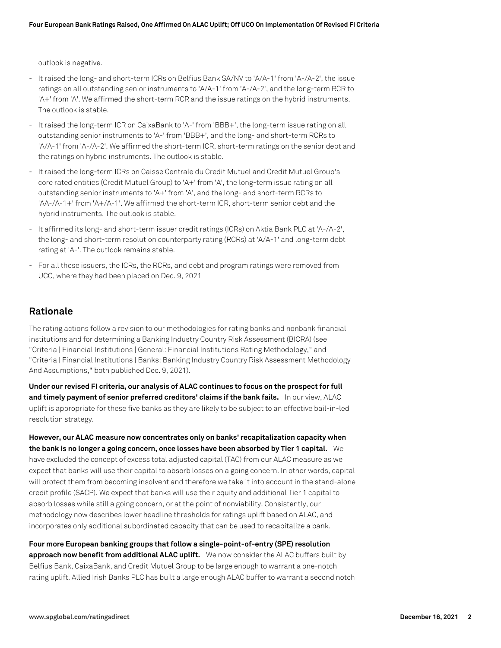outlook is negative.

- It raised the long- and short-term ICRs on Belfius Bank SA/NV to 'A/A-1' from 'A-/A-2', the issue ratings on all outstanding senior instruments to 'A/A-1' from 'A-/A-2', and the long-term RCR to 'A+' from 'A'. We affirmed the short-term RCR and the issue ratings on the hybrid instruments. The outlook is stable.
- It raised the long-term ICR on CaixaBank to 'A-' from 'BBB+', the long-term issue rating on all outstanding senior instruments to 'A-' from 'BBB+', and the long- and short-term RCRs to 'A/A-1' from 'A-/A-2'. We affirmed the short-term ICR, short-term ratings on the senior debt and the ratings on hybrid instruments. The outlook is stable.
- It raised the long-term ICRs on Caisse Centrale du Credit Mutuel and Credit Mutuel Group's core rated entities (Credit Mutuel Group) to 'A+' from 'A', the long-term issue rating on all outstanding senior instruments to 'A+' from 'A', and the long- and short-term RCRs to 'AA-/A-1+' from 'A+/A-1'. We affirmed the short-term ICR, short-term senior debt and the hybrid instruments. The outlook is stable.
- It affirmed its long- and short-term issuer credit ratings (ICRs) on Aktia Bank PLC at 'A-/A-2', the long- and short-term resolution counterparty rating (RCRs) at 'A/A-1' and long-term debt rating at 'A-'. The outlook remains stable.
- For all these issuers, the ICRs, the RCRs, and debt and program ratings were removed from UCO, where they had been placed on Dec. 9, 2021

# **Rationale**

The rating actions follow a revision to our methodologies for rating banks and nonbank financial institutions and for determining a Banking Industry Country Risk Assessment (BICRA) (see "Criteria | Financial Institutions | General: Financial Institutions Rating Methodology," and "Criteria | Financial Institutions | Banks: Banking Industry Country Risk Assessment Methodology And Assumptions," both published Dec. 9, 2021).

**Under our revised FI criteria, our analysis of ALAC continues to focus on the prospect for full** and timely payment of senior preferred creditors' claims if the bank fails. In our view, ALAC uplift is appropriate for these five banks as they are likely to be subject to an effective bail-in-led resolution strategy.

**However, our ALAC measure now concentrates only on banks' recapitalization capacity when the bank is no longer a going concern, once losses have been absorbed by Tier 1 capital.** We have excluded the concept of excess total adjusted capital (TAC) from our ALAC measure as we expect that banks will use their capital to absorb losses on a going concern. In other words, capital will protect them from becoming insolvent and therefore we take it into account in the stand-alone credit profile (SACP). We expect that banks will use their equity and additional Tier 1 capital to absorb losses while still a going concern, or at the point of nonviability. Consistently, our methodology now describes lower headline thresholds for ratings uplift based on ALAC, and incorporates only additional subordinated capacity that can be used to recapitalize a bank.

**Four more European banking groups that follow a single-point-of-entry (SPE) resolution approach now benefit from additional ALAC uplift.** We now consider the ALAC buffers built by Belfius Bank, CaixaBank, and Credit Mutuel Group to be large enough to warrant a one-notch rating uplift. Allied Irish Banks PLC has built a large enough ALAC buffer to warrant a second notch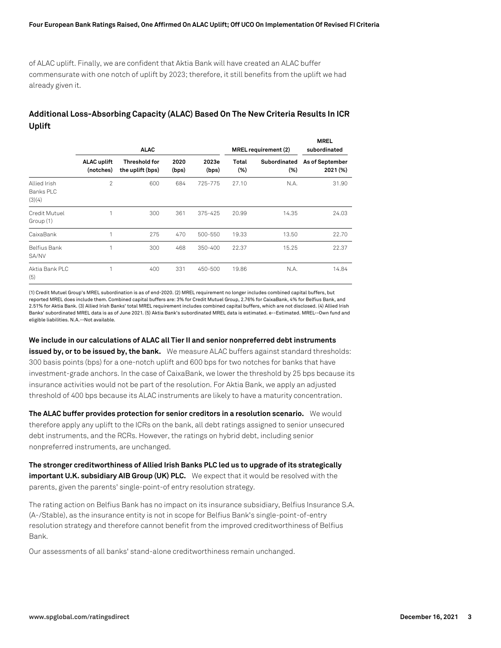### **Four European Bank Ratings Raised, One Affirmed On ALAC Uplift; Off UCO On Implementation Of Revised FI Criteria**

of ALAC uplift. Finally, we are confident that Aktia Bank will have created an ALAC buffer commensurate with one notch of uplift by 2023; therefore, it still benefits from the uplift we had already given it.

# **Additional Loss-Absorbing Capacity (ALAC) Based On The New Criteria Results In ICR Uplift**

|                                     | <b>ALAC</b>                     |                                          |               | MREL requirement (2) |                 | <b>MREL</b><br>subordinated |                             |
|-------------------------------------|---------------------------------|------------------------------------------|---------------|----------------------|-----------------|-----------------------------|-----------------------------|
|                                     | <b>ALAC uplift</b><br>(notches) | <b>Threshold for</b><br>the uplift (bps) | 2020<br>(bps) | 2023e<br>(bps)       | Total<br>$(\%)$ | Subordinated<br>(% )        | As of September<br>2021 (%) |
| Allied Irish<br>Banks PLC<br>(3)(4) | $\overline{2}$                  | 600                                      | 684           | 725-775              | 27.10           | N.A.                        | 31.90                       |
| Credit Mutuel<br>Group (1)          | 1                               | 300                                      | 361           | 375-425              | 20.99           | 14.35                       | 24.03                       |
| CaixaBank                           |                                 | 275                                      | 470           | 500-550              | 19.33           | 13.50                       | 22.70                       |
| <b>Belfius Bank</b><br>SA/NV        | 1                               | 300                                      | 468           | 350-400              | 22.37           | 15.25                       | 22.37                       |
| Aktia Bank PLC<br>(5)               | 1                               | 400                                      | 331           | 450-500              | 19.86           | N.A.                        | 14.84                       |

(1) Credit Mutuel Group's MREL subordination is as of end-2020. (2) MREL requirement no longer includes combined capital buffers, but reported MREL does include them. Combined capital buffers are: 3% for Credit Mutuel Group, 2.76% for CaixaBank, 4% for Belfius Bank, and 2.51% for Aktia Bank. (3) Allied Irish Banks' total MREL requirement includes combined capital buffers, which are not disclosed. (4) Allied Irish Banks' subordinated MREL data is as of June 2021. (5) Aktia Bank's subordinated MREL data is estimated. e--Estimated. MREL--Own fund and eligible liabilities. N.A.--Not available.

**We include in our calculations of ALAC all Tier II and senior nonpreferred debt instruments issued by, or to be issued by, the bank.** We measure ALAC buffers against standard thresholds: 300 basis points (bps) for a one-notch uplift and 600 bps for two notches for banks that have investment-grade anchors. In the case of CaixaBank, we lower the threshold by 25 bps because its insurance activities would not be part of the resolution. For Aktia Bank, we apply an adjusted threshold of 400 bps because its ALAC instruments are likely to have a maturity concentration.

**The ALAC buffer provides protection for senior creditors in a resolution scenario.** We would therefore apply any uplift to the ICRs on the bank, all debt ratings assigned to senior unsecured debt instruments, and the RCRs. However, the ratings on hybrid debt, including senior nonpreferred instruments, are unchanged.

**The stronger creditworthiness of Allied Irish Banks PLC led us to upgrade of its strategically important U.K. subsidiary AIB Group (UK) PLC.** We expect that it would be resolved with the parents, given the parents' single-point-of entry resolution strategy.

The rating action on Belfius Bank has no impact on its insurance subsidiary, Belfius Insurance S.A. (A-/Stable), as the insurance entity is not in scope for Belfius Bank's single-point-of-entry resolution strategy and therefore cannot benefit from the improved creditworthiness of Belfius Bank.

Our assessments of all banks' stand-alone creditworthiness remain unchanged.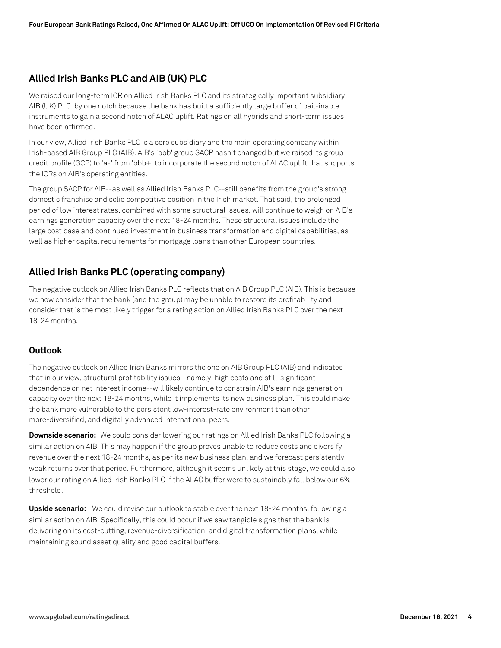# **Allied Irish Banks PLC and AIB (UK) PLC**

We raised our long-term ICR on Allied Irish Banks PLC and its strategically important subsidiary, AIB (UK) PLC, by one notch because the bank has built a sufficiently large buffer of bail-inable instruments to gain a second notch of ALAC uplift. Ratings on all hybrids and short-term issues have been affirmed.

In our view, Allied Irish Banks PLC is a core subsidiary and the main operating company within Irish-based AIB Group PLC (AIB). AIB's 'bbb' group SACP hasn't changed but we raised its group credit profile (GCP) to 'a-' from 'bbb+' to incorporate the second notch of ALAC uplift that supports the ICRs on AIB's operating entities.

The group SACP for AIB--as well as Allied Irish Banks PLC--still benefits from the group's strong domestic franchise and solid competitive position in the Irish market. That said, the prolonged period of low interest rates, combined with some structural issues, will continue to weigh on AIB's earnings generation capacity over the next 18-24 months. These structural issues include the large cost base and continued investment in business transformation and digital capabilities, as well as higher capital requirements for mortgage loans than other European countries.

# **Allied Irish Banks PLC (operating company)**

The negative outlook on Allied Irish Banks PLC reflects that on AIB Group PLC (AIB). This is because we now consider that the bank (and the group) may be unable to restore its profitability and consider that is the most likely trigger for a rating action on Allied Irish Banks PLC over the next 18-24 months.

# **Outlook**

The negative outlook on Allied Irish Banks mirrors the one on AIB Group PLC (AIB) and indicates that in our view, structural profitability issues--namely, high costs and still-significant dependence on net interest income--will likely continue to constrain AIB's earnings generation capacity over the next 18-24 months, while it implements its new business plan. This could make the bank more vulnerable to the persistent low-interest-rate environment than other, more-diversified, and digitally advanced international peers.

**Downside scenario:** We could consider lowering our ratings on Allied Irish Banks PLC following a similar action on AIB. This may happen if the group proves unable to reduce costs and diversify revenue over the next 18-24 months, as per its new business plan, and we forecast persistently weak returns over that period. Furthermore, although it seems unlikely at this stage, we could also lower our rating on Allied Irish Banks PLC if the ALAC buffer were to sustainably fall below our 6% threshold.

**Upside scenario:** We could revise our outlook to stable over the next 18-24 months, following a similar action on AIB. Specifically, this could occur if we saw tangible signs that the bank is delivering on its cost-cutting, revenue-diversification, and digital transformation plans, while maintaining sound asset quality and good capital buffers.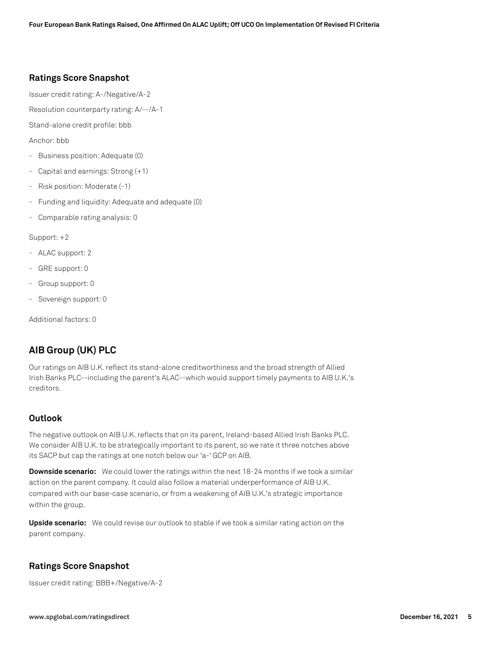# **Ratings Score Snapshot**

Issuer credit rating: A-/Negative/A-2

Resolution counterparty rating: A/--/A-1

Stand-alone credit profile: bbb

Anchor: bbb

- Business position: Adequate (0)
- Capital and earnings: Strong (+1)
- Risk position: Moderate (-1)
- Funding and liquidity: Adequate and adequate (0)
- Comparable rating analysis: 0

Support: +2

- ALAC support: 2
- GRE support: 0
- Group support: 0
- Sovereign support: 0

Additional factors: 0

# **AIB Group (UK) PLC**

Our ratings on AIB U.K. reflect its stand-alone creditworthiness and the broad strength of Allied Irish Banks PLC--including the parent's ALAC--which would support timely payments to AIB U.K.'s creditors.

# **Outlook**

The negative outlook on AIB U.K. reflects that on its parent, Ireland-based Allied Irish Banks PLC. We consider AIB U.K. to be strategically important to its parent, so we rate it three notches above its SACP but cap the ratings at one notch below our 'a-' GCP on AIB.

**Downside scenario:** We could lower the ratings within the next 18-24 months if we took a similar action on the parent company. It could also follow a material underperformance of AIB U.K. compared with our base-case scenario, or from a weakening of AIB U.K.'s strategic importance within the group.

**Upside scenario:** We could revise our outlook to stable if we took a similar rating action on the parent company.

# **Ratings Score Snapshot**

Issuer credit rating: BBB+/Negative/A-2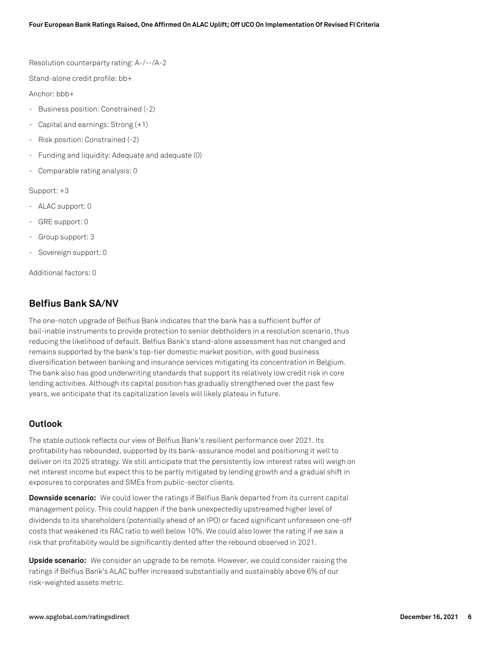Resolution counterparty rating: A-/--/A-2

Stand-alone credit profile: bb+

Anchor: bbb+

- Business position: Constrained (-2)
- Capital and earnings: Strong (+1)
- Risk position: Constrained (-2)
- Funding and liquidity: Adequate and adequate (0)
- Comparable rating analysis: 0

Support: +3

- ALAC support: 0
- GRE support: 0
- Group support: 3
- Sovereign support: 0

Additional factors: 0

# **Belfius Bank SA/NV**

The one-notch upgrade of Belfius Bank indicates that the bank has a sufficient buffer of bail-inable instruments to provide protection to senior debtholders in a resolution scenario, thus reducing the likelihood of default. Belfius Bank's stand-alone assessment has not changed and remains supported by the bank's top-tier domestic market position, with good business diversification between banking and insurance services mitigating its concentration in Belgium. The bank also has good underwriting standards that support its relatively low credit risk in core lending activities. Although its capital position has gradually strengthened over the past few years, we anticipate that its capitalization levels will likely plateau in future.

# **Outlook**

The stable outlook reflects our view of Belfius Bank's resilient performance over 2021. Its profitability has rebounded, supported by its bank-assurance model and positioning it well to deliver on its 2025 strategy. We still anticipate that the persistently low interest rates will weigh on net interest income but expect this to be partly mitigated by lending growth and a gradual shift in exposures to corporates and SMEs from public-sector clients.

**Downside scenario:** We could lower the ratings if Belfius Bank departed from its current capital management policy. This could happen if the bank unexpectedly upstreamed higher level of dividends to its shareholders (potentially ahead of an IPO) or faced significant unforeseen one-off costs that weakened its RAC ratio to well below 10%. We could also lower the rating if we saw a risk that profitability would be significantly dented after the rebound observed in 2021.

**Upside scenario:** We consider an upgrade to be remote. However, we could consider raising the ratings if Belfius Bank's ALAC buffer increased substantially and sustainably above 6% of our risk-weighted assets metric.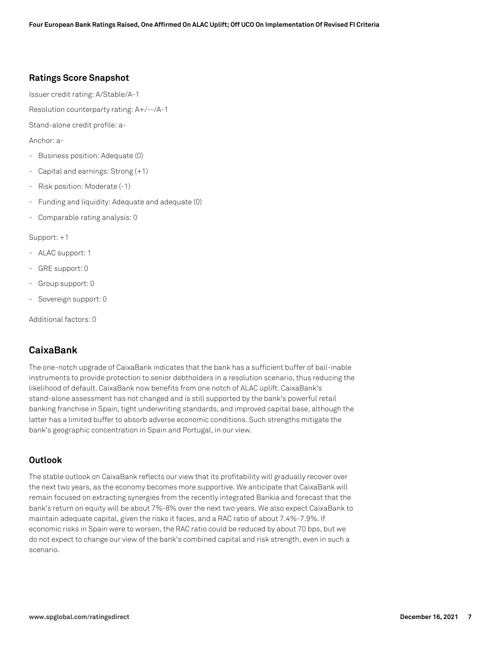# **Ratings Score Snapshot**

Issuer credit rating: A/Stable/A-1

Resolution counterparty rating: A+/--/A-1

Stand-alone credit profile: a-

Anchor: a-

- Business position: Adequate (0)
- Capital and earnings: Strong (+1)
- Risk position: Moderate (-1)
- Funding and liquidity: Adequate and adequate (0)
- Comparable rating analysis: 0

Support: +1

- ALAC support: 1
- GRE support: 0
- Group support: 0
- Sovereign support: 0

Additional factors: 0

# **CaixaBank**

The one-notch upgrade of CaixaBank indicates that the bank has a sufficient buffer of bail-inable instruments to provide protection to senior debtholders in a resolution scenario, thus reducing the likelihood of default. CaixaBank now benefits from one notch of ALAC uplift. CaixaBank's stand-alone assessment has not changed and is still supported by the bank's powerful retail banking franchise in Spain, tight underwriting standards, and improved capital base, although the latter has a limited buffer to absorb adverse economic conditions. Such strengths mitigate the bank's geographic concentration in Spain and Portugal, in our view.

## **Outlook**

The stable outlook on CaixaBank reflects our view that its profitability will gradually recover over the next two years, as the economy becomes more supportive. We anticipate that CaixaBank will remain focused on extracting synergies from the recently integrated Bankia and forecast that the bank's return on equity will be about 7%-8% over the next two years. We also expect CaixaBank to maintain adequate capital, given the risks it faces, and a RAC ratio of about 7.4%-7.9%. If economic risks in Spain were to worsen, the RAC ratio could be reduced by about 70 bps, but we do not expect to change our view of the bank's combined capital and risk strength, even in such a scenario.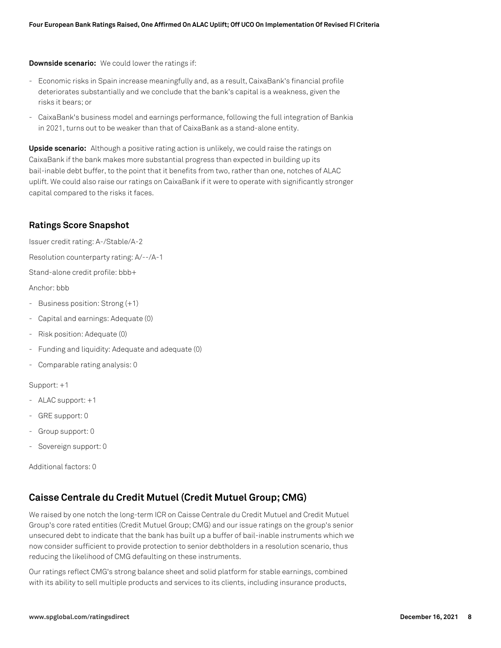**Downside scenario:** We could lower the ratings if:

- Economic risks in Spain increase meaningfully and, as a result, CaixaBank's financial profile deteriorates substantially and we conclude that the bank's capital is a weakness, given the risks it bears; or
- CaixaBank's business model and earnings performance, following the full integration of Bankia in 2021, turns out to be weaker than that of CaixaBank as a stand-alone entity.

**Upside scenario:** Although a positive rating action is unlikely, we could raise the ratings on CaixaBank if the bank makes more substantial progress than expected in building up its bail-inable debt buffer, to the point that it benefits from two, rather than one, notches of ALAC uplift. We could also raise our ratings on CaixaBank if it were to operate with significantly stronger capital compared to the risks it faces.

# **Ratings Score Snapshot**

Issuer credit rating: A-/Stable/A-2

Resolution counterparty rating: A/--/A-1

Stand-alone credit profile: bbb+

Anchor: bbb

- Business position: Strong (+1)
- Capital and earnings: Adequate (0)
- Risk position: Adequate (0)
- Funding and liquidity: Adequate and adequate (0)
- Comparable rating analysis: 0

Support: +1

- ALAC support: +1
- GRE support: 0
- Group support: 0
- Sovereign support: 0

Additional factors: 0

# **Caisse Centrale du Credit Mutuel (Credit Mutuel Group; CMG)**

We raised by one notch the long-term ICR on Caisse Centrale du Credit Mutuel and Credit Mutuel Group's core rated entities (Credit Mutuel Group; CMG) and our issue ratings on the group's senior unsecured debt to indicate that the bank has built up a buffer of bail-inable instruments which we now consider sufficient to provide protection to senior debtholders in a resolution scenario, thus reducing the likelihood of CMG defaulting on these instruments.

Our ratings reflect CMG's strong balance sheet and solid platform for stable earnings, combined with its ability to sell multiple products and services to its clients, including insurance products,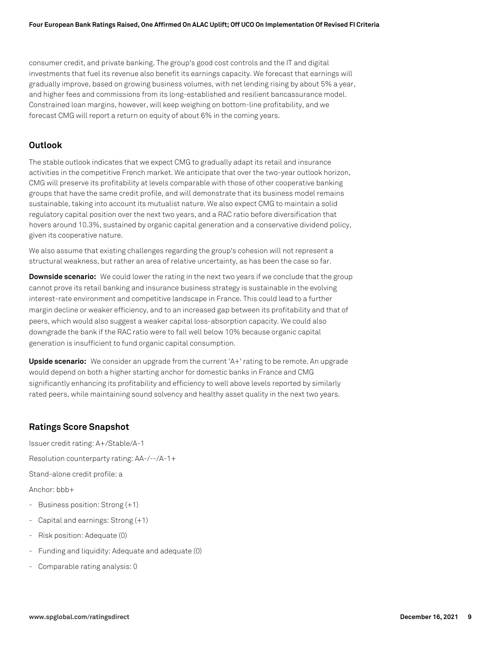### **Four European Bank Ratings Raised, One Affirmed On ALAC Uplift; Off UCO On Implementation Of Revised FI Criteria**

consumer credit, and private banking. The group's good cost controls and the IT and digital investments that fuel its revenue also benefit its earnings capacity. We forecast that earnings will gradually improve, based on growing business volumes, with net lending rising by about 5% a year, and higher fees and commissions from its long-established and resilient bancassurance model. Constrained loan margins, however, will keep weighing on bottom-line profitability, and we forecast CMG will report a return on equity of about 6% in the coming years.

### **Outlook**

The stable outlook indicates that we expect CMG to gradually adapt its retail and insurance activities in the competitive French market. We anticipate that over the two-year outlook horizon, CMG will preserve its profitability at levels comparable with those of other cooperative banking groups that have the same credit profile, and will demonstrate that its business model remains sustainable, taking into account its mutualist nature. We also expect CMG to maintain a solid regulatory capital position over the next two years, and a RAC ratio before diversification that hovers around 10.3%, sustained by organic capital generation and a conservative dividend policy, given its cooperative nature.

We also assume that existing challenges regarding the group's cohesion will not represent a structural weakness, but rather an area of relative uncertainty, as has been the case so far.

**Downside scenario:** We could lower the rating in the next two years if we conclude that the group cannot prove its retail banking and insurance business strategy is sustainable in the evolving interest-rate environment and competitive landscape in France. This could lead to a further margin decline or weaker efficiency, and to an increased gap between its profitability and that of peers, which would also suggest a weaker capital loss-absorption capacity. We could also downgrade the bank if the RAC ratio were to fall well below 10% because organic capital generation is insufficient to fund organic capital consumption.

**Upside scenario:** We consider an upgrade from the current 'A+' rating to be remote. An upgrade would depend on both a higher starting anchor for domestic banks in France and CMG significantly enhancing its profitability and efficiency to well above levels reported by similarly rated peers, while maintaining sound solvency and healthy asset quality in the next two years.

## **Ratings Score Snapshot**

Issuer credit rating: A+/Stable/A-1 Resolution counterparty rating: AA-/--/A-1+ Stand-alone credit profile: a Anchor: bbb+ - Business position: Strong (+1)

- Capital and earnings: Strong (+1)
- Risk position: Adequate (0)
- Funding and liquidity: Adequate and adequate (0)
- Comparable rating analysis: 0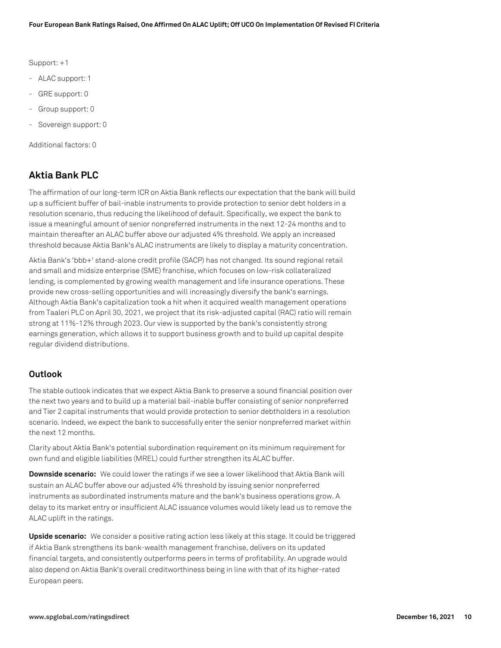Support: +1

- ALAC support: 1
- GRE support: 0
- Group support: 0
- Sovereign support: 0

Additional factors: 0

# **Aktia Bank PLC**

The affirmation of our long-term ICR on Aktia Bank reflects our expectation that the bank will build up a sufficient buffer of bail-inable instruments to provide protection to senior debt holders in a resolution scenario, thus reducing the likelihood of default. Specifically, we expect the bank to issue a meaningful amount of senior nonpreferred instruments in the next 12-24 months and to maintain thereafter an ALAC buffer above our adjusted 4% threshold. We apply an increased threshold because Aktia Bank's ALAC instruments are likely to display a maturity concentration.

Aktia Bank's 'bbb+' stand-alone credit profile (SACP) has not changed. Its sound regional retail and small and midsize enterprise (SME) franchise, which focuses on low-risk collateralized lending, is complemented by growing wealth management and life insurance operations. These provide new cross-selling opportunities and will increasingly diversify the bank's earnings. Although Aktia Bank's capitalization took a hit when it acquired wealth management operations from Taaleri PLC on April 30, 2021, we project that its risk-adjusted capital (RAC) ratio will remain strong at 11%-12% through 2023. Our view is supported by the bank's consistently strong earnings generation, which allows it to support business growth and to build up capital despite regular dividend distributions.

# **Outlook**

The stable outlook indicates that we expect Aktia Bank to preserve a sound financial position over the next two years and to build up a material bail-inable buffer consisting of senior nonpreferred and Tier 2 capital instruments that would provide protection to senior debtholders in a resolution scenario. Indeed, we expect the bank to successfully enter the senior nonpreferred market within the next 12 months.

Clarity about Aktia Bank's potential subordination requirement on its minimum requirement for own fund and eligible liabilities (MREL) could further strengthen its ALAC buffer.

**Downside scenario:** We could lower the ratings if we see a lower likelihood that Aktia Bank will sustain an ALAC buffer above our adjusted 4% threshold by issuing senior nonpreferred instruments as subordinated instruments mature and the bank's business operations grow. A delay to its market entry or insufficient ALAC issuance volumes would likely lead us to remove the ALAC uplift in the ratings.

**Upside scenario:** We consider a positive rating action less likely at this stage. It could be triggered if Aktia Bank strengthens its bank-wealth management franchise, delivers on its updated financial targets, and consistently outperforms peers in terms of profitability. An upgrade would also depend on Aktia Bank's overall creditworthiness being in line with that of its higher-rated European peers.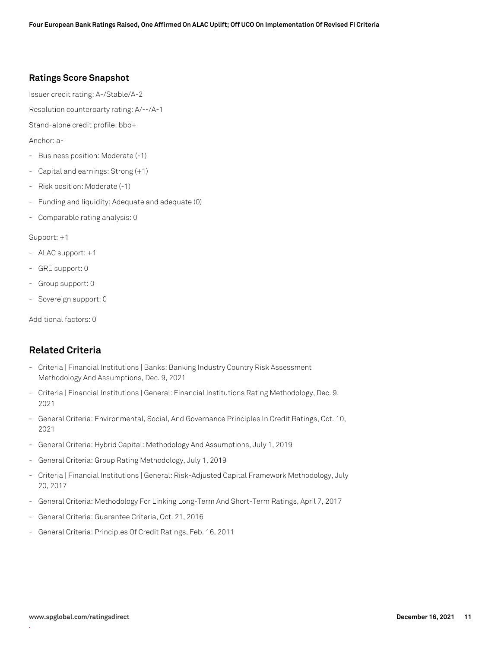# **Ratings Score Snapshot**

Issuer credit rating: A-/Stable/A-2

Resolution counterparty rating: A/--/A-1

Stand-alone credit profile: bbb+

Anchor: a-

- Business position: Moderate (-1)
- Capital and earnings: Strong (+1)
- Risk position: Moderate (-1)
- Funding and liquidity: Adequate and adequate (0)
- Comparable rating analysis: 0

Support: +1

- ALAC support: +1
- GRE support: 0
- Group support: 0
- Sovereign support: 0

Additional factors: 0

# **Related Criteria**

- Criteria | Financial Institutions | Banks: Banking Industry Country Risk Assessment Methodology And Assumptions, Dec. 9, 2021
- Criteria | Financial Institutions | General: Financial Institutions Rating Methodology, Dec. 9, 2021
- General Criteria: Environmental, Social, And Governance Principles In Credit Ratings, Oct. 10, 2021
- General Criteria: Hybrid Capital: Methodology And Assumptions, July 1, 2019
- General Criteria: Group Rating Methodology, July 1, 2019
- Criteria | Financial Institutions | General: Risk-Adjusted Capital Framework Methodology, July 20, 2017
- General Criteria: Methodology For Linking Long-Term And Short-Term Ratings, April 7, 2017
- General Criteria: Guarantee Criteria, Oct. 21, 2016
- General Criteria: Principles Of Credit Ratings, Feb. 16, 2011

**.**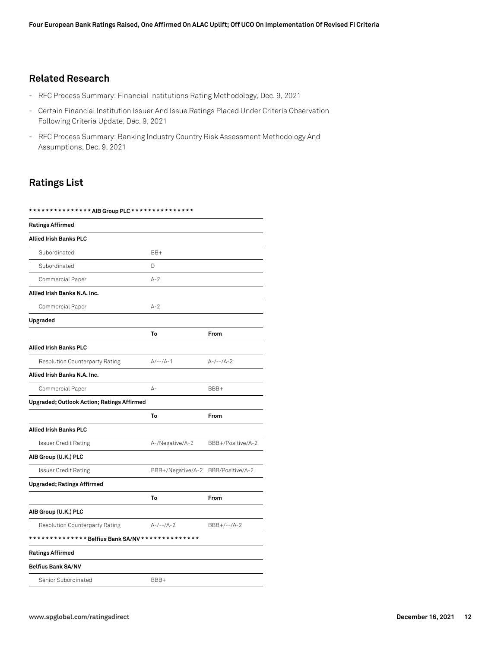# **Related Research**

- RFC Process Summary: Financial Institutions Rating Methodology, Dec. 9, 2021
- Certain Financial Institution Issuer And Issue Ratings Placed Under Criteria Observation Following Criteria Update, Dec. 9, 2021
- RFC Process Summary: Banking Industry Country Risk Assessment Methodology And Assumptions, Dec. 9, 2021

# **Ratings List**

**\* \* \* \* \* \* \* \* \* \* \* \* \* \* \* AIB Group PLC \* \* \* \* \* \* \* \* \* \* \* \* \* \* \***

| <b>Ratings Affirmed</b>                           |                   |                   |
|---------------------------------------------------|-------------------|-------------------|
| <b>Allied Irish Banks PLC</b>                     |                   |                   |
| Subordinated                                      | BB+               |                   |
| Subordinated                                      | D                 |                   |
| Commercial Paper                                  | $A-2$             |                   |
| Allied Irish Banks N.A. Inc.                      |                   |                   |
| Commercial Paper                                  | $A - 2$           |                   |
| Upgraded                                          |                   |                   |
|                                                   | To                | From              |
| <b>Allied Irish Banks PLC</b>                     |                   |                   |
| Resolution Counterparty Rating                    | $A/-- /A-1$       | $A-/--/A-2$       |
| Allied Irish Banks N.A. Inc.                      |                   |                   |
| Commercial Paper                                  | $A -$             | BBB+              |
| <b>Upgraded; Outlook Action; Ratings Affirmed</b> |                   |                   |
|                                                   | To                | From              |
| Allied Irish Banks PLC                            |                   |                   |
| <b>Issuer Credit Rating</b>                       | A-/Negative/A-2   | BBB+/Positive/A-2 |
| AIB Group (U.K.) PLC                              |                   |                   |
| <b>Issuer Credit Rating</b>                       | BBB+/Negative/A-2 | BBB/Positive/A-2  |
| <b>Upgraded; Ratings Affirmed</b>                 |                   |                   |
|                                                   | To                | From              |
| AIB Group (U.K.) PLC                              |                   |                   |
| <b>Resolution Counterparty Rating</b>             | $A-/--/A-2$       | $BBB+/--/A-2$     |
|                                                   |                   |                   |
| <b>Ratings Affirmed</b>                           |                   |                   |
| <b>Belfius Bank SA/NV</b>                         |                   |                   |
| Senior Subordinated                               | BBB+              |                   |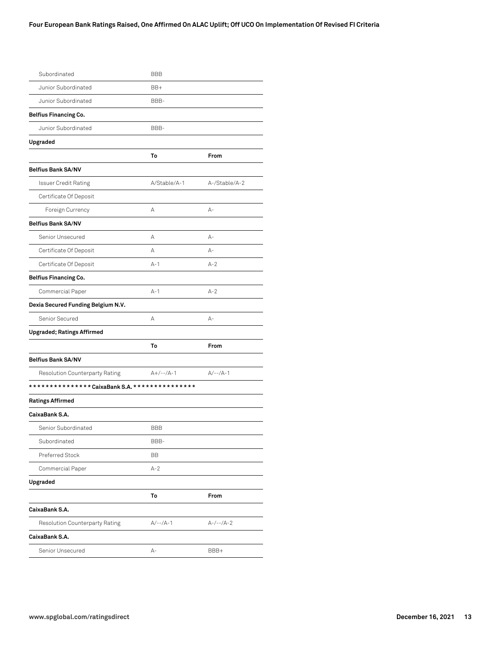| Subordinated                       | <b>BBB</b>   |               |
|------------------------------------|--------------|---------------|
| Junior Subordinated                | BB+          |               |
| Junior Subordinated                | BBB-         |               |
| <b>Belfius Financing Co.</b>       |              |               |
| Junior Subordinated                | BBB-         |               |
| Upgraded                           |              |               |
|                                    | To           | From          |
| <b>Belfius Bank SA/NV</b>          |              |               |
| <b>Issuer Credit Rating</b>        | A/Stable/A-1 | A-/Stable/A-2 |
| Certificate Of Deposit             |              |               |
| Foreign Currency                   | А            | $A-$          |
| <b>Belfius Bank SA/NV</b>          |              |               |
| Senior Unsecured                   | А            | $A-$          |
| Certificate Of Deposit             | А            | $A -$         |
| Certificate Of Deposit             | $A-1$        | $A-2$         |
| <b>Belfius Financing Co.</b>       |              |               |
| Commercial Paper                   | $A-1$        | $A - 2$       |
| Dexia Secured Funding Belgium N.V. |              |               |
| Senior Secured                     | А            | $A-$          |
| <b>Upgraded; Ratings Affirmed</b>  |              |               |
|                                    | To           | From          |
| <b>Belfius Bank SA/NV</b>          |              |               |
| Resolution Counterparty Rating     | $A+/--/A-1$  | $A/-- /A-1$   |
|                                    |              |               |
| <b>Ratings Affirmed</b>            |              |               |
| CaixaBank S.A.                     |              |               |
| Senior Subordinated                | <b>BBB</b>   |               |
| Subordinated                       | BBB-         |               |
| Preferred Stock                    | BB           |               |
| Commercial Paper                   | $A-2$        |               |
| Upgraded                           |              |               |
|                                    | To           | From          |
| CaixaBank S.A.                     |              |               |
| Resolution Counterparty Rating     | $A/-- /A-1$  | $A-/--/A-2$   |
| CaixaBank S.A.                     |              |               |
| Senior Unsecured                   | А-           | BBB+          |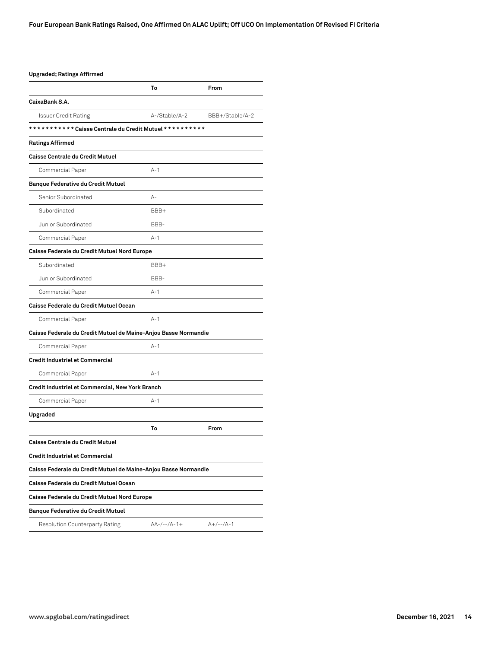### **Upgraded; Ratings Affirmed**

|                                                                 | To            | From            |
|-----------------------------------------------------------------|---------------|-----------------|
| CaixaBank S.A.                                                  |               |                 |
| Issuer Credit Rating                                            | A-/Stable/A-2 | BBB+/Stable/A-2 |
| *********** Caisse Centrale du Credit Mutuel **********         |               |                 |
| <b>Ratings Affirmed</b>                                         |               |                 |
| Caisse Centrale du Credit Mutuel                                |               |                 |
| Commercial Paper                                                | $A-1$         |                 |
| <b>Banque Federative du Credit Mutuel</b>                       |               |                 |
| Senior Subordinated                                             | $A -$         |                 |
| Subordinated                                                    | BBB+          |                 |
| Junior Subordinated                                             | BBB-          |                 |
| Commercial Paper                                                | $A-1$         |                 |
| Caisse Federale du Credit Mutuel Nord Europe                    |               |                 |
| Subordinated                                                    | BBB+          |                 |
| Junior Subordinated                                             | BBB-          |                 |
| Commercial Paper                                                | $A-1$         |                 |
| Caisse Federale du Credit Mutuel Ocean                          |               |                 |
| Commercial Paper                                                | $A-1$         |                 |
| Caisse Federale du Credit Mutuel de Maine-Anjou Basse Normandie |               |                 |
| Commercial Paper                                                | $A-1$         |                 |
| <b>Credit Industriel et Commercial</b>                          |               |                 |
| Commercial Paper                                                | $A-1$         |                 |
| Credit Industriel et Commercial, New York Branch                |               |                 |
| Commercial Paper                                                | A-1           |                 |
| Upgraded                                                        |               |                 |
|                                                                 | To            | From            |
| Caisse Centrale du Credit Mutuel                                |               |                 |
| <b>Credit Industriel et Commercial</b>                          |               |                 |
| Caisse Federale du Credit Mutuel de Maine-Anjou Basse Normandie |               |                 |
| Caisse Federale du Credit Mutuel Ocean                          |               |                 |
| Caisse Federale du Credit Mutuel Nord Europe                    |               |                 |
| <b>Banque Federative du Credit Mutuel</b>                       |               |                 |
| Resolution Counterparty Rating                                  | $AA-/--/A-1+$ | $A+/--/A-1$     |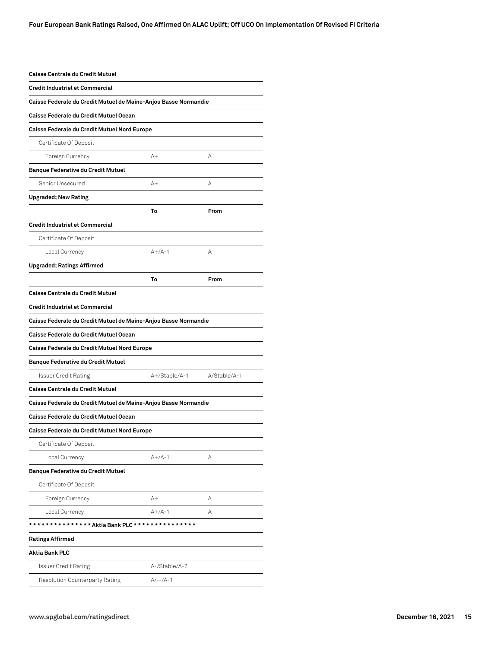| <b>Caisse Centrale du Credit Mutuel</b>                         |               |              |
|-----------------------------------------------------------------|---------------|--------------|
| <b>Credit Industriel et Commercial</b>                          |               |              |
| Caisse Federale du Credit Mutuel de Maine-Anjou Basse Normandie |               |              |
| Caisse Federale du Credit Mutuel Ocean                          |               |              |
| Caisse Federale du Credit Mutuel Nord Europe                    |               |              |
| Certificate Of Deposit                                          |               |              |
| Foreign Currency                                                | A+            | А            |
| <b>Banque Federative du Credit Mutuel</b>                       |               |              |
| Senior Unsecured                                                | A+            | А            |
| <b>Upgraded; New Rating</b>                                     |               |              |
|                                                                 | To            | From         |
| <b>Credit Industriel et Commercial</b>                          |               |              |
| Certificate Of Deposit                                          |               |              |
| Local Currency                                                  | $A+/A-1$      | А            |
| <b>Upgraded; Ratings Affirmed</b>                               |               |              |
|                                                                 | Т٥            | From         |
| Caisse Centrale du Credit Mutuel                                |               |              |
| <b>Credit Industriel et Commercial</b>                          |               |              |
| Caisse Federale du Credit Mutuel de Maine-Anjou Basse Normandie |               |              |
| Caisse Federale du Credit Mutuel Ocean                          |               |              |
| Caisse Federale du Credit Mutuel Nord Europe                    |               |              |
| <b>Banque Federative du Credit Mutuel</b>                       |               |              |
| <b>Issuer Credit Rating</b>                                     | A+/Stable/A-1 | A/Stable/A-1 |
| <b>Caisse Centrale du Credit Mutuel</b>                         |               |              |
| Caisse Federale du Credit Mutuel de Maine-Anjou Basse Normandie |               |              |
| Caisse Federale du Credit Mutuel Ocean                          |               |              |
| Caisse Federale du Credit Mutuel Nord Europe                    |               |              |
| Certificate Of Deposit                                          |               |              |
| Local Currency                                                  | $A+/A-1$      | А            |
| <b>Banque Federative du Credit Mutuel</b>                       |               |              |
| Certificate Of Deposit                                          |               |              |
| Foreign Currency                                                | A+            | А            |
| Local Currency                                                  | $A+/A-1$      | А            |
| **************Aktia Bank PLC ***************                    |               |              |
| <b>Ratings Affirmed</b>                                         |               |              |
| <b>Aktia Bank PLC</b>                                           |               |              |
| Issuer Credit Rating                                            | A-/Stable/A-2 |              |
| Resolution Counterparty Rating                                  | $A/-- /A-1$   |              |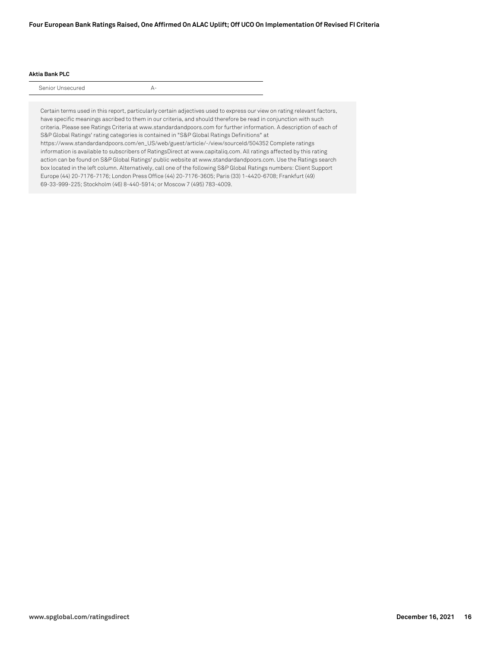### **Four European Bank Ratings Raised, One Affirmed On ALAC Uplift; Off UCO On Implementation Of Revised FI Criteria**

#### **Aktia Bank PLC**

Senior Unsecured A-

Certain terms used in this report, particularly certain adjectives used to express our view on rating relevant factors, have specific meanings ascribed to them in our criteria, and should therefore be read in conjunction with such criteria. Please see Ratings Criteria at www.standardandpoors.com for further information. A description of each of S&P Global Ratings' rating categories is contained in "S&P Global Ratings Definitions" at https://www.standardandpoors.com/en\_US/web/guest/article/-/view/sourceId/504352 Complete ratings information is available to subscribers of RatingsDirect at www.capitaliq.com. All ratings affected by this rating action can be found on S&P Global Ratings' public website at www.standardandpoors.com. Use the Ratings search box located in the left column. Alternatively, call one of the following S&P Global Ratings numbers: Client Support Europe (44) 20-7176-7176; London Press Office (44) 20-7176-3605; Paris (33) 1-4420-6708; Frankfurt (49) 69-33-999-225; Stockholm (46) 8-440-5914; or Moscow 7 (495) 783-4009.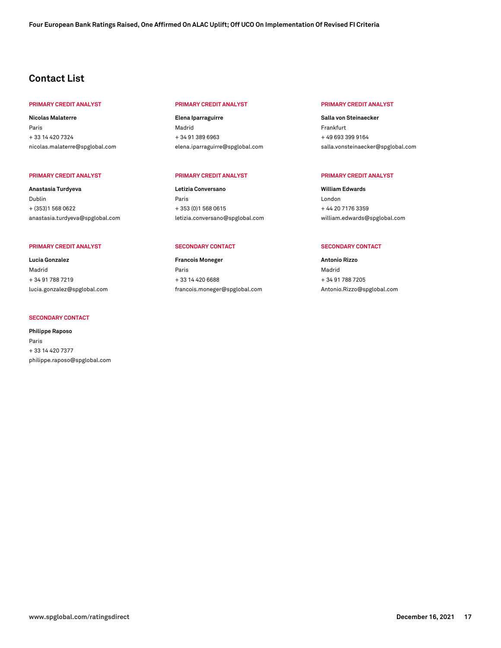# **Contact List**

#### **PRIMARY CREDIT ANALYST PRIMARY CREDIT ANALYST PRIMARY CREDIT ANALYST**

**Nicolas Malaterre** Paris + 33 14 420 7324 [nicolas.malaterre@spglobal.com](mailto: nicolas.malaterre@spglobal.com)

#### **PRIMARY CREDIT ANALYST PRIMARY CREDIT ANALYST PRIMARY CREDIT ANALYST**

**Anastasia Turdyeva** Dublin + (353)1 568 0622 [anastasia.turdyeva@spglobal.com](mailto: anastasia.turdyeva@spglobal.com)

#### **PRIMARY CREDIT ANALYST SECONDARY CONTACT SECONDARY CONTACT**

**Lucia Gonzalez** Madrid + 34 91 788 7219 [lucia.gonzalez@spglobal.com](mailto: lucia.gonzalez@spglobal.com)

#### **SECONDARY CONTACT**

**Philippe Raposo** Paris + 33 14 420 7377 [philippe.raposo@spglobal.com](mailto: philippe.raposo@spglobal.com)

**Elena Iparraguirre** Madrid + 34 91 389 6963 [elena.iparraguirre@spglobal.com](mailto: elena.iparraguirre@spglobal.com)

**Letizia Conversano** Paris + 353 (0)1 568 0615 [letizia.conversano@spglobal.com](mailto: letizia.conversano@spglobal.com)

**Francois Moneger** Paris + 33 14 420 6688 [francois.moneger@spglobal.com](mailto: francois.moneger@spglobal.com)

**Salla von Steinaecker** Frankfurt + 49 693 399 9164 [salla.vonsteinaecker@spglobal.com](mailto: salla.vonsteinaecker@spglobal.com)

**William Edwards** London + 44 20 7176 3359 [william.edwards@spglobal.com](mailto: william.edwards@spglobal.com)

**Antonio Rizzo** Madrid + 34 91 788 7205 [Antonio.Rizzo@spglobal.com](mailto: Antonio.Rizzo@spglobal.com)